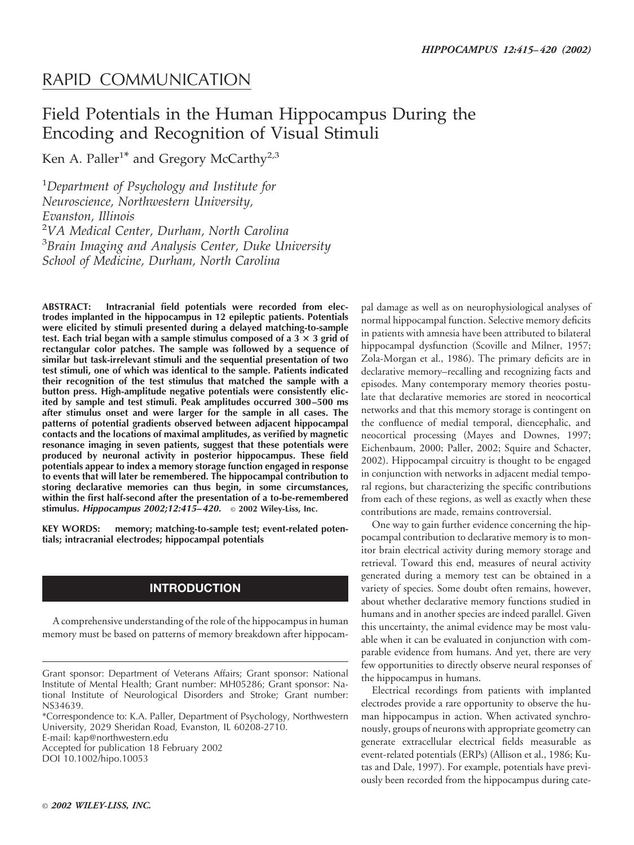# RAPID COMMUNICATION

## Field Potentials in the Human Hippocampus During the Encoding and Recognition of Visual Stimuli

Ken A. Paller<sup>1\*</sup> and Gregory McCarthy<sup>2,3</sup>

1 *Department of Psychology and Institute for Neuroscience, Northwestern University, Evanston, Illinois* 2 *VA Medical Center, Durham, North Carolina* 3 *Brain Imaging and Analysis Center, Duke University School of Medicine, Durham, North Carolina*

**ABSTRACT: Intracranial field potentials were recorded from electrodes implanted in the hippocampus in 12 epileptic patients. Potentials were elicited by stimuli presented during a delayed matching-to-sample test. Each trial began with a sample stimulus composed of a 3 3 grid of rectangular color patches. The sample was followed by a sequence of similar but task-irrelevant stimuli and the sequential presentation of two test stimuli, one of which was identical to the sample. Patients indicated their recognition of the test stimulus that matched the sample with a button press. High-amplitude negative potentials were consistently elicited by sample and test stimuli. Peak amplitudes occurred 300–500 ms after stimulus onset and were larger for the sample in all cases. The patterns of potential gradients observed between adjacent hippocampal contacts and the locations of maximal amplitudes, as verified by magnetic resonance imaging in seven patients, suggest that these potentials were produced by neuronal activity in posterior hippocampus. These field potentials appear to index a memory storage function engaged in response to events that will later be remembered. The hippocampal contribution to storing declarative memories can thus begin, in some circumstances, within the first half-second after the presentation of a to-be-remembered stimulus.** *Hippocampus 2002;12:415–420.* © **2002 Wiley-Liss, Inc.**

**KEY WORDS: memory; matching-to-sample test; event-related potentials; intracranial electrodes; hippocampal potentials**

### **INTRODUCTION**

A comprehensive understanding of the role of the hippocampus in human memory must be based on patterns of memory breakdown after hippocam-

\*Correspondence to: K.A. Paller, Department of Psychology, Northwestern University, 2029 Sheridan Road, Evanston, IL 60208-2710. E-mail: kap@northwestern.edu

Accepted for publication 18 February 2002 DOI 10.1002/hipo.10053

pal damage as well as on neurophysiological analyses of normal hippocampal function. Selective memory deficits in patients with amnesia have been attributed to bilateral hippocampal dysfunction (Scoville and Milner, 1957; Zola-Morgan et al., 1986). The primary deficits are in declarative memory–recalling and recognizing facts and episodes. Many contemporary memory theories postulate that declarative memories are stored in neocortical networks and that this memory storage is contingent on the confluence of medial temporal, diencephalic, and neocortical processing (Mayes and Downes, 1997; Eichenbaum, 2000; Paller, 2002; Squire and Schacter, 2002). Hippocampal circuitry is thought to be engaged in conjunction with networks in adjacent medial temporal regions, but characterizing the specific contributions from each of these regions, as well as exactly when these contributions are made, remains controversial.

One way to gain further evidence concerning the hippocampal contribution to declarative memory is to monitor brain electrical activity during memory storage and retrieval. Toward this end, measures of neural activity generated during a memory test can be obtained in a variety of species. Some doubt often remains, however, about whether declarative memory functions studied in humans and in another species are indeed parallel. Given this uncertainty, the animal evidence may be most valuable when it can be evaluated in conjunction with comparable evidence from humans. And yet, there are very few opportunities to directly observe neural responses of the hippocampus in humans.

Electrical recordings from patients with implanted electrodes provide a rare opportunity to observe the human hippocampus in action. When activated synchronously, groups of neurons with appropriate geometry can generate extracellular electrical fields measurable as event-related potentials (ERPs) (Allison et al., 1986; Kutas and Dale, 1997). For example, potentials have previously been recorded from the hippocampus during cate-

Grant sponsor: Department of Veterans Affairs; Grant sponsor: National Institute of Mental Health; Grant number: MH05286; Grant sponsor: National Institute of Neurological Disorders and Stroke; Grant number: NS34639.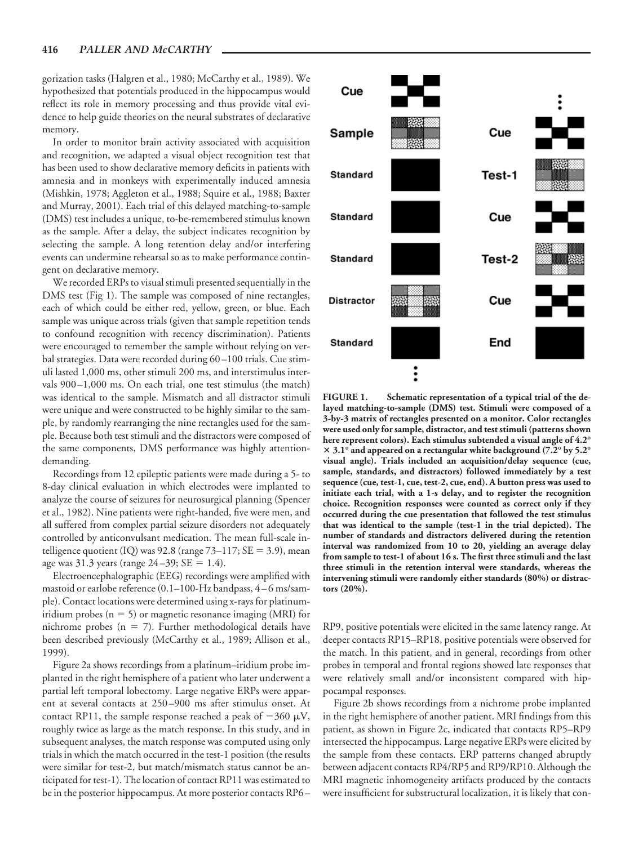gorization tasks (Halgren et al., 1980; McCarthy et al., 1989). We hypothesized that potentials produced in the hippocampus would reflect its role in memory processing and thus provide vital evidence to help guide theories on the neural substrates of declarative memory.

In order to monitor brain activity associated with acquisition and recognition, we adapted a visual object recognition test that has been used to show declarative memory deficits in patients with amnesia and in monkeys with experimentally induced amnesia (Mishkin, 1978; Aggleton et al., 1988; Squire et al., 1988; Baxter and Murray, 2001). Each trial of this delayed matching-to-sample (DMS) test includes a unique, to-be-remembered stimulus known as the sample. After a delay, the subject indicates recognition by selecting the sample. A long retention delay and/or interfering events can undermine rehearsal so as to make performance contingent on declarative memory.

We recorded ERPs to visual stimuli presented sequentially in the DMS test (Fig 1). The sample was composed of nine rectangles, each of which could be either red, yellow, green, or blue. Each sample was unique across trials (given that sample repetition tends to confound recognition with recency discrimination). Patients were encouraged to remember the sample without relying on verbal strategies. Data were recorded during 60–100 trials. Cue stimuli lasted 1,000 ms, other stimuli 200 ms, and interstimulus intervals 900–1,000 ms. On each trial, one test stimulus (the match) was identical to the sample. Mismatch and all distractor stimuli were unique and were constructed to be highly similar to the sample, by randomly rearranging the nine rectangles used for the sample. Because both test stimuli and the distractors were composed of the same components, DMS performance was highly attentiondemanding.

Recordings from 12 epileptic patients were made during a 5- to 8-day clinical evaluation in which electrodes were implanted to analyze the course of seizures for neurosurgical planning (Spencer et al., 1982). Nine patients were right-handed, five were men, and all suffered from complex partial seizure disorders not adequately controlled by anticonvulsant medication. The mean full-scale intelligence quotient (IQ) was 92.8 (range  $73-117$ ; SE = 3.9), mean age was 31.3 years (range  $24-39$ ; SE = 1.4).

Electroencephalographic (EEG) recordings were amplified with mastoid or earlobe reference (0.1–100-Hz bandpass, 4–6 ms/sample). Contact locations were determined using x-rays for platinumiridium probes ( $n = 5$ ) or magnetic resonance imaging (MRI) for nichrome probes ( $n = 7$ ). Further methodological details have been described previously (McCarthy et al., 1989; Allison et al., 1999).

Figure 2a shows recordings from a platinum–iridium probe implanted in the right hemisphere of a patient who later underwent a partial left temporal lobectomy. Large negative ERPs were apparent at several contacts at 250–900 ms after stimulus onset. At contact RP11, the sample response reached a peak of  $-360 \mu V$ , roughly twice as large as the match response. In this study, and in subsequent analyses, the match response was computed using only trials in which the match occurred in the test-1 position (the results were similar for test-2, but match/mismatch status cannot be anticipated for test-1). The location of contact RP11 was estimated to be in the posterior hippocampus. At more posterior contacts RP6–



**FIGURE 1. Schematic representation of a typical trial of the delayed matching-to-sample (DMS) test. Stimuli were composed of a 3-by-3 matrix of rectangles presented on a monitor. Color rectangles were used only for sample, distractor, and test stimuli (patterns shown here represent colors). Each stimulus subtended a visual angle of 4.2° 3.1° and appeared on a rectangular white background (7.2° by 5.2° visual angle). Trials included an acquisition/delay sequence (cue, sample, standards, and distractors) followed immediately by a test sequence (cue, test-1, cue, test-2, cue, end). A button press was used to initiate each trial, with a 1-s delay, and to register the recognition choice. Recognition responses were counted as correct only if they occurred during the cue presentation that followed the test stimulus that was identical to the sample (test-1 in the trial depicted). The number of standards and distractors delivered during the retention interval was randomized from 10 to 20, yielding an average delay from sample to test-1 of about 16 s. The first three stimuli and the last three stimuli in the retention interval were standards, whereas the intervening stimuli were randomly either standards (80%) or distractors (20%).**

RP9, positive potentials were elicited in the same latency range. At deeper contacts RP15–RP18, positive potentials were observed for the match. In this patient, and in general, recordings from other probes in temporal and frontal regions showed late responses that were relatively small and/or inconsistent compared with hippocampal responses.

Figure 2b shows recordings from a nichrome probe implanted in the right hemisphere of another patient. MRI findings from this patient, as shown in Figure 2c, indicated that contacts RP5–RP9 intersected the hippocampus. Large negative ERPs were elicited by the sample from these contacts. ERP patterns changed abruptly between adjacent contacts RP4/RP5 and RP9/RP10. Although the MRI magnetic inhomogeneity artifacts produced by the contacts were insufficient for substructural localization, it is likely that con-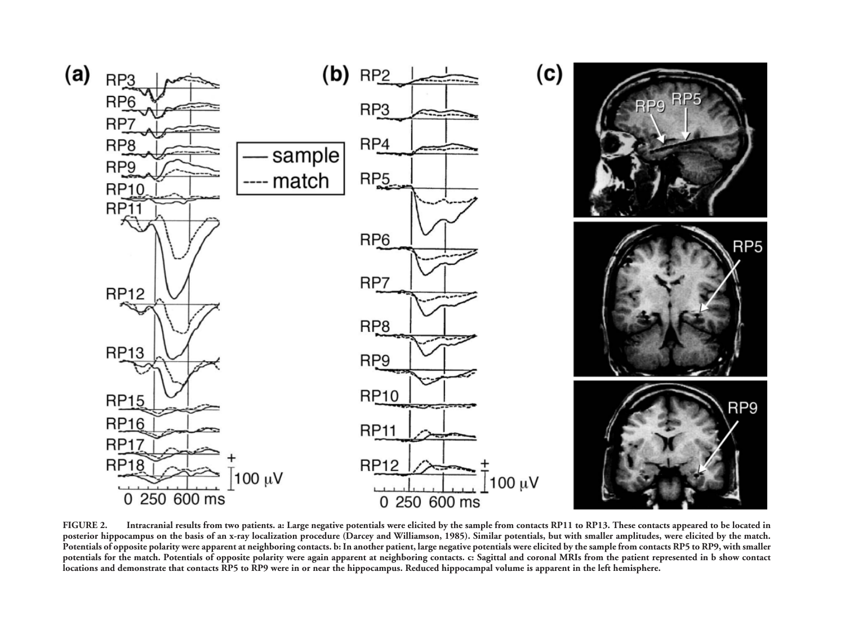

FIGURE 2. Intracranial results from two patients. a: Large negative potentials were elicited by the sample from contacts RP11 to RP13. These contacts appeared to be located in posterior hippocampus on the basis of an x-ray localization procedure (Darcey and Williamson, 1985). Similar potentials, but with smaller amplitudes, were elicited by the match. Potentials of opposite polarity were apparent at neighboring contacts. b: In another patient, large negative potentials were elicited by the sample from contacts RP5 to RP9, with smaller potentials for the match. Potentials of opposite polarity were again apparent at neighboring contacts. c: Sagittal and coronal MRIs from the patient represented in b show contact locations and demonstrate that contacts RP5 to RP9 were in or near the hippocampus. Reduced hippocampal volume is apparent in the left hemisphere.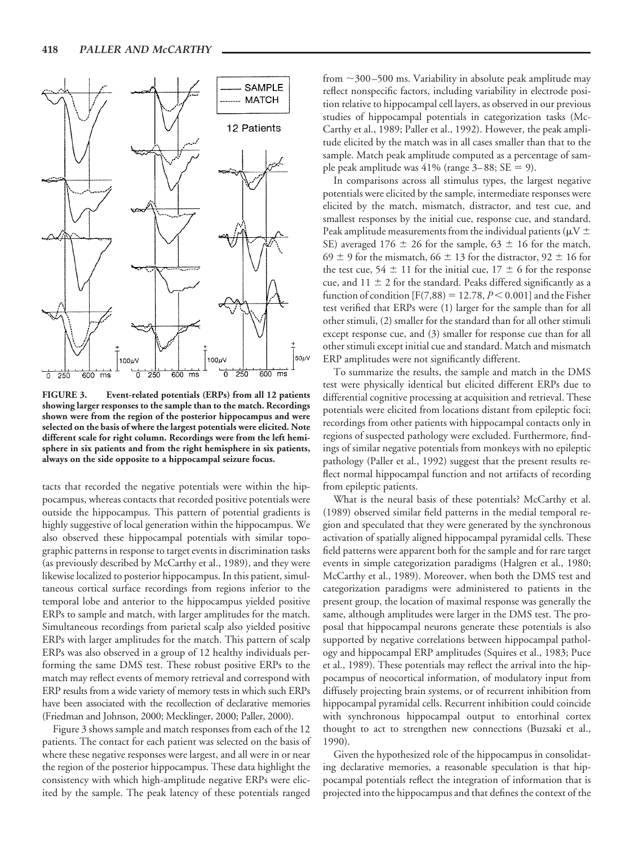

**FIGURE 3. Event-related potentials (ERPs) from all 12 patients showing larger responses to the sample than to the match. Recordings shown were from the region of the posterior hippocampus and were selected on the basis of where the largest potentials were elicited. Note different scale for right column. Recordings were from the left hemisphere in six patients and from the right hemisphere in six patients, always on the side opposite to a hippocampal seizure focus.**

tacts that recorded the negative potentials were within the hippocampus, whereas contacts that recorded positive potentials were outside the hippocampus. This pattern of potential gradients is highly suggestive of local generation within the hippocampus. We also observed these hippocampal potentials with similar topographic patterns in response to target events in discrimination tasks (as previously described by McCarthy et al., 1989), and they were likewise localized to posterior hippocampus. In this patient, simultaneous cortical surface recordings from regions inferior to the temporal lobe and anterior to the hippocampus yielded positive ERPs to sample and match, with larger amplitudes for the match. Simultaneous recordings from parietal scalp also yielded positive ERPs with larger amplitudes for the match. This pattern of scalp ERPs was also observed in a group of 12 healthy individuals performing the same DMS test. These robust positive ERPs to the match may reflect events of memory retrieval and correspond with ERP results from a wide variety of memory tests in which such ERPs have been associated with the recollection of declarative memories (Friedman and Johnson, 2000; Mecklinger, 2000; Paller, 2000).

Figure 3 shows sample and match responses from each of the 12 patients. The contact for each patient was selected on the basis of where these negative responses were largest, and all were in or near the region of the posterior hippocampus. These data highlight the consistency with which high-amplitude negative ERPs were elicited by the sample. The peak latency of these potentials ranged

from  $\sim$ 300–500 ms. Variability in absolute peak amplitude may reflect nonspecific factors, including variability in electrode position relative to hippocampal cell layers, as observed in our previous studies of hippocampal potentials in categorization tasks (Mc-Carthy et al., 1989; Paller et al., 1992). However, the peak amplitude elicited by the match was in all cases smaller than that to the sample. Match peak amplitude computed as a percentage of sample peak amplitude was  $41\%$  (range  $3-88$ ; SE = 9).

In comparisons across all stimulus types, the largest negative potentials were elicited by the sample, intermediate responses were elicited by the match, mismatch, distractor, and test cue, and smallest responses by the initial cue, response cue, and standard. Peak amplitude measurements from the individual patients ( $\mu$ V  $\pm$ SE) averaged 176  $\pm$  26 for the sample, 63  $\pm$  16 for the match, 69  $\pm$  9 for the mismatch, 66  $\pm$  13 for the distractor, 92  $\pm$  16 for the test cue,  $54 \pm 11$  for the initial cue,  $17 \pm 6$  for the response cue, and  $11 \pm 2$  for the standard. Peaks differed significantly as a function of condition  $[F(7,88) = 12.78, P \le 0.001]$  and the Fisher test verified that ERPs were (1) larger for the sample than for all other stimuli, (2) smaller for the standard than for all other stimuli except response cue, and (3) smaller for response cue than for all other stimuli except initial cue and standard. Match and mismatch ERP amplitudes were not significantly different.

To summarize the results, the sample and match in the DMS test were physically identical but elicited different ERPs due to differential cognitive processing at acquisition and retrieval. These potentials were elicited from locations distant from epileptic foci; recordings from other patients with hippocampal contacts only in regions of suspected pathology were excluded. Furthermore, findings of similar negative potentials from monkeys with no epileptic pathology (Paller et al., 1992) suggest that the present results reflect normal hippocampal function and not artifacts of recording from epileptic patients.

What is the neural basis of these potentials? McCarthy et al. (1989) observed similar field patterns in the medial temporal region and speculated that they were generated by the synchronous activation of spatially aligned hippocampal pyramidal cells. These field patterns were apparent both for the sample and for rare target events in simple categorization paradigms (Halgren et al., 1980; McCarthy et al., 1989). Moreover, when both the DMS test and categorization paradigms were administered to patients in the present group, the location of maximal response was generally the same, although amplitudes were larger in the DMS test. The proposal that hippocampal neurons generate these potentials is also supported by negative correlations between hippocampal pathology and hippocampal ERP amplitudes (Squires et al., 1983; Puce et al., 1989). These potentials may reflect the arrival into the hippocampus of neocortical information, of modulatory input from diffusely projecting brain systems, or of recurrent inhibition from hippocampal pyramidal cells. Recurrent inhibition could coincide with synchronous hippocampal output to entorhinal cortex thought to act to strengthen new connections (Buzsaki et al., 1990).

Given the hypothesized role of the hippocampus in consolidating declarative memories, a reasonable speculation is that hippocampal potentials reflect the integration of information that is projected into the hippocampus and that defines the context of the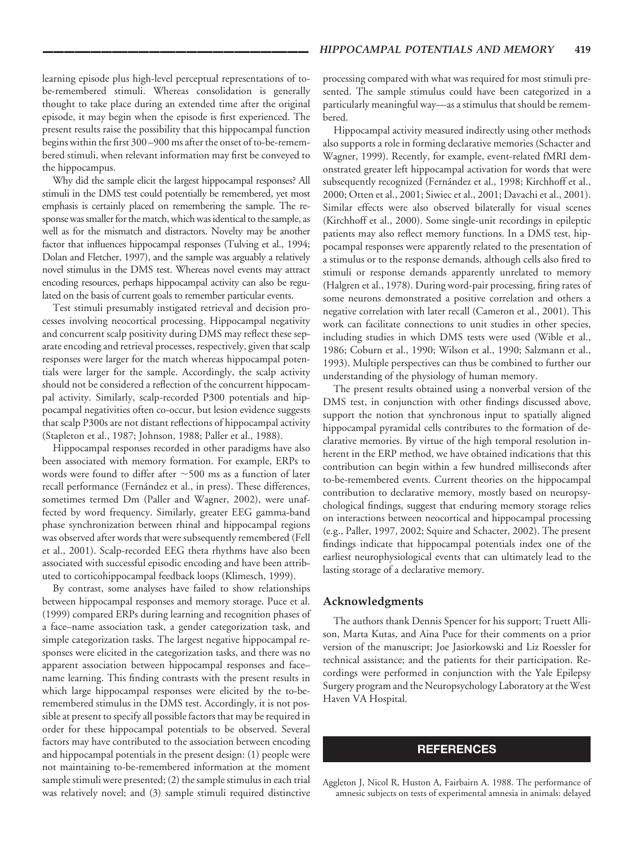learning episode plus high-level perceptual representations of tobe-remembered stimuli. Whereas consolidation is generally thought to take place during an extended time after the original episode, it may begin when the episode is first experienced. The present results raise the possibility that this hippocampal function begins within the first 300–900 ms after the onset of to-be-remembered stimuli, when relevant information may first be conveyed to the hippocampus.

Why did the sample elicit the largest hippocampal responses? All stimuli in the DMS test could potentially be remembered, yet most emphasis is certainly placed on remembering the sample. The response was smaller for the match, which was identical to the sample, as well as for the mismatch and distractors. Novelty may be another factor that influences hippocampal responses (Tulving et al., 1994; Dolan and Fletcher, 1997), and the sample was arguably a relatively novel stimulus in the DMS test. Whereas novel events may attract encoding resources, perhaps hippocampal activity can also be regulated on the basis of current goals to remember particular events.

Test stimuli presumably instigated retrieval and decision processes involving neocortical processing. Hippocampal negativity and concurrent scalp positivity during DMS may reflect these separate encoding and retrieval processes, respectively, given that scalp responses were larger for the match whereas hippocampal potentials were larger for the sample. Accordingly, the scalp activity should not be considered a reflection of the concurrent hippocampal activity. Similarly, scalp-recorded P300 potentials and hippocampal negativities often co-occur, but lesion evidence suggests that scalp P300s are not distant reflections of hippocampal activity (Stapleton et al., 1987; Johnson, 1988; Paller et al., 1988).

Hippocampal responses recorded in other paradigms have also been associated with memory formation. For example, ERPs to words were found to differ after  $\sim$  500 ms as a function of later recall performance (Fernández et al., in press). These differences, sometimes termed Dm (Paller and Wagner, 2002), were unaffected by word frequency. Similarly, greater EEG gamma-band phase synchronization between rhinal and hippocampal regions was observed after words that were subsequently remembered (Fell et al., 2001). Scalp-recorded EEG theta rhythms have also been associated with successful episodic encoding and have been attributed to corticohippocampal feedback loops (Klimesch, 1999).

By contrast, some analyses have failed to show relationships between hippocampal responses and memory storage. Puce et al. (1999) compared ERPs during learning and recognition phases of a face–name association task, a gender categorization task, and simple categorization tasks. The largest negative hippocampal responses were elicited in the categorization tasks, and there was no apparent association between hippocampal responses and face– name learning. This finding contrasts with the present results in which large hippocampal responses were elicited by the to-beremembered stimulus in the DMS test. Accordingly, it is not possible at present to specify all possible factors that may be required in order for these hippocampal potentials to be observed. Several factors may have contributed to the association between encoding and hippocampal potentials in the present design: (1) people were not maintaining to-be-remembered information at the moment sample stimuli were presented; (2) the sample stimulus in each trial was relatively novel; and (3) sample stimuli required distinctive

processing compared with what was required for most stimuli presented. The sample stimulus could have been categorized in a particularly meaningful way—as a stimulus that should be remembered.

Hippocampal activity measured indirectly using other methods also supports a role in forming declarative memories (Schacter and Wagner, 1999). Recently, for example, event-related fMRI demonstrated greater left hippocampal activation for words that were subsequently recognized (Fernández et al., 1998; Kirchhoff et al., 2000; Otten et al., 2001; Siwiec et al., 2001; Davachi et al., 2001). Similar effects were also observed bilaterally for visual scenes (Kirchhoff et al., 2000). Some single-unit recordings in epileptic patients may also reflect memory functions. In a DMS test, hippocampal responses were apparently related to the presentation of a stimulus or to the response demands, although cells also fired to stimuli or response demands apparently unrelated to memory (Halgren et al., 1978). During word-pair processing, firing rates of some neurons demonstrated a positive correlation and others a negative correlation with later recall (Cameron et al., 2001). This work can facilitate connections to unit studies in other species, including studies in which DMS tests were used (Wible et al., 1986; Coburn et al., 1990; Wilson et al., 1990; Salzmann et al., 1993). Multiple perspectives can thus be combined to further our understanding of the physiology of human memory.

The present results obtained using a nonverbal version of the DMS test, in conjunction with other findings discussed above, support the notion that synchronous input to spatially aligned hippocampal pyramidal cells contributes to the formation of declarative memories. By virtue of the high temporal resolution inherent in the ERP method, we have obtained indications that this contribution can begin within a few hundred milliseconds after to-be-remembered events. Current theories on the hippocampal contribution to declarative memory, mostly based on neuropsychological findings, suggest that enduring memory storage relies on interactions between neocortical and hippocampal processing (e.g., Paller, 1997, 2002; Squire and Schacter, 2002). The present findings indicate that hippocampal potentials index one of the earliest neurophysiological events that can ultimately lead to the lasting storage of a declarative memory.

#### **Acknowledgments**

The authors thank Dennis Spencer for his support; Truett Allison, Marta Kutas, and Aina Puce for their comments on a prior version of the manuscript; Joe Jasiorkowski and Liz Roessler for technical assistance; and the patients for their participation. Recordings were performed in conjunction with the Yale Epilepsy Surgery program and the Neuropsychology Laboratory at the West Haven VA Hospital.

### **REFERENCES**

Aggleton J, Nicol R, Huston A, Fairbairn A. 1988. The performance of amnesic subjects on tests of experimental amnesia in animals: delayed